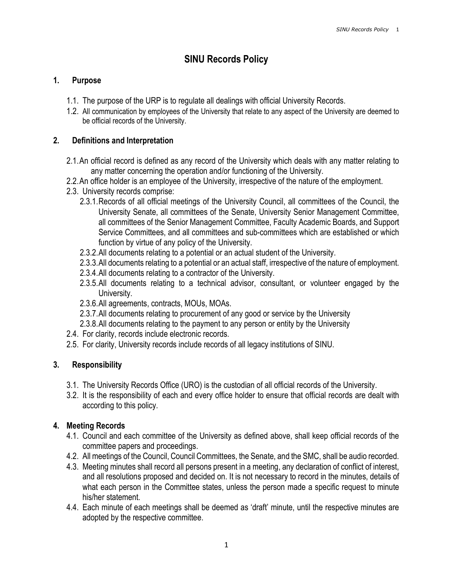# SINU Records Policy

## 1. Purpose

- 1.1. The purpose of the URP is to regulate all dealings with official University Records.
- 1.2. All communication by employees of the University that relate to any aspect of the University are deemed to be official records of the University.

## 2. Definitions and Interpretation

- 2.1.An official record is defined as any record of the University which deals with any matter relating to any matter concerning the operation and/or functioning of the University.
- 2.2.An office holder is an employee of the University, irrespective of the nature of the employment.
- 2.3. University records comprise:
	- 2.3.1.Records of all official meetings of the University Council, all committees of the Council, the University Senate, all committees of the Senate, University Senior Management Committee, all committees of the Senior Management Committee, Faculty Academic Boards, and Support Service Committees, and all committees and sub-committees which are established or which function by virtue of any policy of the University.
	- 2.3.2.All documents relating to a potential or an actual student of the University.
	- 2.3.3.All documents relating to a potential or an actual staff, irrespective of the nature of employment.
	- 2.3.4.All documents relating to a contractor of the University.
	- 2.3.5.All documents relating to a technical advisor, consultant, or volunteer engaged by the University.
	- 2.3.6.All agreements, contracts, MOUs, MOAs.
	- 2.3.7.All documents relating to procurement of any good or service by the University
	- 2.3.8.All documents relating to the payment to any person or entity by the University
- 2.4. For clarity, records include electronic records.
- 2.5. For clarity, University records include records of all legacy institutions of SINU.

# 3. Responsibility

- 3.1. The University Records Office (URO) is the custodian of all official records of the University.
- 3.2. It is the responsibility of each and every office holder to ensure that official records are dealt with according to this policy.

# 4. Meeting Records

- 4.1. Council and each committee of the University as defined above, shall keep official records of the committee papers and proceedings.
- 4.2. All meetings of the Council, Council Committees, the Senate, and the SMC, shall be audio recorded.
- 4.3. Meeting minutes shall record all persons present in a meeting, any declaration of conflict of interest, and all resolutions proposed and decided on. It is not necessary to record in the minutes, details of what each person in the Committee states, unless the person made a specific request to minute his/her statement.
- 4.4. Each minute of each meetings shall be deemed as 'draft' minute, until the respective minutes are adopted by the respective committee.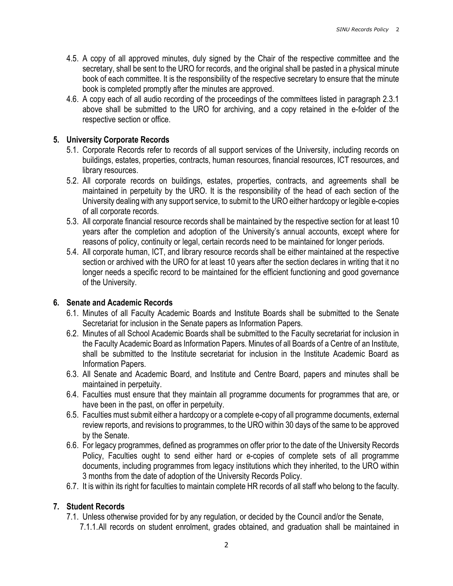- 4.5. A copy of all approved minutes, duly signed by the Chair of the respective committee and the secretary, shall be sent to the URO for records, and the original shall be pasted in a physical minute book of each committee. It is the responsibility of the respective secretary to ensure that the minute book is completed promptly after the minutes are approved.
- 4.6. A copy each of all audio recording of the proceedings of the committees listed in paragraph 2.3.1 above shall be submitted to the URO for archiving, and a copy retained in the e-folder of the respective section or office.

## 5. University Corporate Records

- 5.1. Corporate Records refer to records of all support services of the University, including records on buildings, estates, properties, contracts, human resources, financial resources, ICT resources, and library resources.
- 5.2. All corporate records on buildings, estates, properties, contracts, and agreements shall be maintained in perpetuity by the URO. It is the responsibility of the head of each section of the University dealing with any support service, to submit to the URO either hardcopy or legible e-copies of all corporate records.
- 5.3. All corporate financial resource records shall be maintained by the respective section for at least 10 years after the completion and adoption of the University's annual accounts, except where for reasons of policy, continuity or legal, certain records need to be maintained for longer periods.
- 5.4. All corporate human, ICT, and library resource records shall be either maintained at the respective section or archived with the URO for at least 10 years after the section declares in writing that it no longer needs a specific record to be maintained for the efficient functioning and good governance of the University.

#### 6. Senate and Academic Records

- 6.1. Minutes of all Faculty Academic Boards and Institute Boards shall be submitted to the Senate Secretariat for inclusion in the Senate papers as Information Papers.
- 6.2. Minutes of all School Academic Boards shall be submitted to the Faculty secretariat for inclusion in the Faculty Academic Board as Information Papers. Minutes of all Boards of a Centre of an Institute, shall be submitted to the Institute secretariat for inclusion in the Institute Academic Board as Information Papers.
- 6.3. All Senate and Academic Board, and Institute and Centre Board, papers and minutes shall be maintained in perpetuity.
- 6.4. Faculties must ensure that they maintain all programme documents for programmes that are, or have been in the past, on offer in perpetuity.
- 6.5. Faculties must submit either a hardcopy or a complete e-copy of all programme documents, external review reports, and revisions to programmes, to the URO within 30 days of the same to be approved by the Senate.
- 6.6. For legacy programmes, defined as programmes on offer prior to the date of the University Records Policy, Faculties ought to send either hard or e-copies of complete sets of all programme documents, including programmes from legacy institutions which they inherited, to the URO within 3 months from the date of adoption of the University Records Policy.
- 6.7. It is within its right for faculties to maintain complete HR records of all staff who belong to the faculty.

### 7. Student Records

7.1. Unless otherwise provided for by any regulation, or decided by the Council and/or the Senate, 7.1.1.All records on student enrolment, grades obtained, and graduation shall be maintained in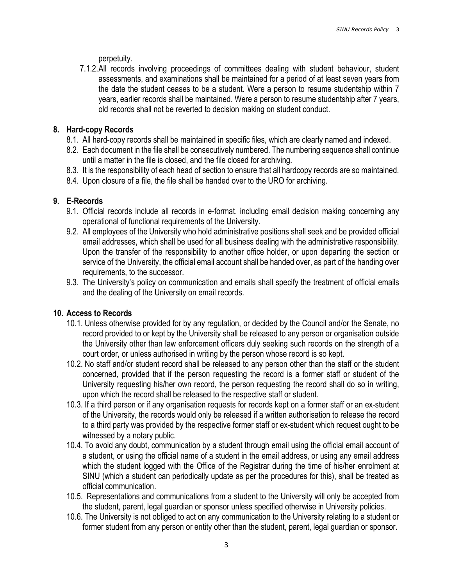perpetuity.

7.1.2.All records involving proceedings of committees dealing with student behaviour, student assessments, and examinations shall be maintained for a period of at least seven years from the date the student ceases to be a student. Were a person to resume studentship within 7 years, earlier records shall be maintained. Were a person to resume studentship after 7 years, old records shall not be reverted to decision making on student conduct.

## 8. Hard-copy Records

- 8.1. All hard-copy records shall be maintained in specific files, which are clearly named and indexed.
- 8.2. Each document in the file shall be consecutively numbered. The numbering sequence shall continue until a matter in the file is closed, and the file closed for archiving.
- 8.3. It is the responsibility of each head of section to ensure that all hardcopy records are so maintained.
- 8.4. Upon closure of a file, the file shall be handed over to the URO for archiving.

# 9. E-Records

- 9.1. Official records include all records in e-format, including email decision making concerning any operational of functional requirements of the University.
- 9.2. All employees of the University who hold administrative positions shall seek and be provided official email addresses, which shall be used for all business dealing with the administrative responsibility. Upon the transfer of the responsibility to another office holder, or upon departing the section or service of the University, the official email account shall be handed over, as part of the handing over requirements, to the successor.
- 9.3. The University's policy on communication and emails shall specify the treatment of official emails and the dealing of the University on email records.

### 10. Access to Records

- 10.1. Unless otherwise provided for by any regulation, or decided by the Council and/or the Senate, no record provided to or kept by the University shall be released to any person or organisation outside the University other than law enforcement officers duly seeking such records on the strength of a court order, or unless authorised in writing by the person whose record is so kept.
- 10.2. No staff and/or student record shall be released to any person other than the staff or the student concerned, provided that if the person requesting the record is a former staff or student of the University requesting his/her own record, the person requesting the record shall do so in writing, upon which the record shall be released to the respective staff or student.
- 10.3. If a third person or if any organisation requests for records kept on a former staff or an ex-student of the University, the records would only be released if a written authorisation to release the record to a third party was provided by the respective former staff or ex-student which request ought to be witnessed by a notary public.
- 10.4. To avoid any doubt, communication by a student through email using the official email account of a student, or using the official name of a student in the email address, or using any email address which the student logged with the Office of the Registrar during the time of his/her enrolment at SINU (which a student can periodically update as per the procedures for this), shall be treated as official communication.
- 10.5. Representations and communications from a student to the University will only be accepted from the student, parent, legal guardian or sponsor unless specified otherwise in University policies.
- 10.6. The University is not obliged to act on any communication to the University relating to a student or former student from any person or entity other than the student, parent, legal guardian or sponsor.